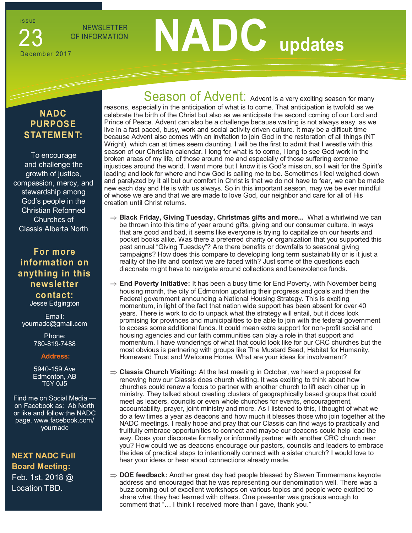**ISSUE** 

NEWSLETTER

# December 2017 23

# **OF INFORMATION**

# **NADC PURPOSE STATEMENT:**

To encourage and challenge the growth of justice, compassion, mercy, and stewardship among God's people in the Christian Reformed Churches of Classis Alberta North

## **For more information on anything in this newsletter contact:** Jesse Edgington

Email: yournadc@gmail.com

> Phone: 780-819-7488

#### **Address:**

5940-159 Ave Edmonton, AB T5Y 0J5

Find me on Social Media on Facebook as: Ab North or like and follow the NADC page. www.facebook.com/ yournadc

**NEXT NADC Full Board Meeting:**  Feb. 1st, 2018 @ Location TBD.

Season of Advent: Advent is a very exciting season for many reasons, especially in the anticipation of what is to come. That anticipation is twofold as we celebrate the birth of the Christ but also as we anticipate the second coming of our Lord and Prince of Peace. Advent can also be a challenge because waiting is not always easy, as we live in a fast paced, busy, work and social activity driven culture. It may be a difficult time because Advent also comes with an invitation to join God in the restoration of all things (NT Wright), which can at times seem daunting. I will be the first to admit that I wrestle with this season of our Christian calendar. I long for what is to come, I long to see God work in the broken areas of my life, of those around me and especially of those suffering extreme injustices around the world. I want more but I know it is God's mission, so I wait for the Spirit's leading and look for where and how God is calling me to be. Sometimes I feel weighed down and paralyzed by it all but our comfort in Christ is that we do not have to fear, we can be made new each day and He is with us always. So in this important season, may we be ever mindful of whose we are and that we are made to love God, our neighbor and care for all of His creation until Christ returns.

- **⇒ Black Friday, Giving Tuesday, Christmas gifts and more...** What a whirlwind we can be thrown into this time of year around gifts, giving and our consumer culture. In ways that are good and bad, it seems like everyone is trying to capitalize on our hearts and pocket books alike. Was there a preferred charity or organization that you supported this past annual "Giving Tuesday"? Are there benefits or downfalls to seasonal giving campaigns? How does this compare to developing long term sustainability or is it just a reality of the life and context we are faced with? Just some of the questions each diaconate might have to navigate around collections and benevolence funds.
- **End Poverty Initiative:** It has been a busy time for End Poverty, with November being housing month, the city of Edmonton updating their progress and goals and then the Federal government announcing a National Housing Strategy. This is exciting momentum, in light of the fact that nation wide support has been absent for over 40 years. There is work to do to unpack what the strategy will entail, but it does look promising for provinces and municipalities to be able to join with the federal government to access some additional funds. It could mean extra support for non-profit social and housing agencies and our faith communities can play a role in that support and momentum. I have wonderings of what that could look like for our CRC churches but the most obvious is partnering with groups like The Mustard Seed, Habitat for Humanity, Homeward Trust and Welcome Home. What are your ideas for involvement?
- **Classis Church Visiting:** At the last meeting in October, we heard a proposal for renewing how our Classis does church visiting. It was exciting to think about how churches could renew a focus to partner with another church to lift each other up in ministry. They talked about creating clusters of geographically based groups that could meet as leaders, councils or even whole churches for events, encouragement, accountability, prayer, joint ministry and more. As I listened to this, I thought of what we do a few times a year as deacons and how much it blesses those who join together at the NADC meetings. I really hope and pray that our Classis can find ways to practically and fruitfully embrace opportunities to connect and maybe our deacons could help lead the way. Does your diaconate formally or informally partner with another CRC church near you? How could we as deacons encourage our pastors, councils and leaders to embrace the idea of practical steps to intentionally connect with a sister church? I would love to hear your ideas or hear about connections already made.
- $\Rightarrow$  **DOE feedback:** Another great day had people blessed by Steven Timmermans keynote address and encouraged that he was representing our denomination well. There was a buzz coming out of excellent workshops on various topics and people were excited to share what they had learned with others. One presenter was gracious enough to comment that "… I think I received more than I gave, thank you."